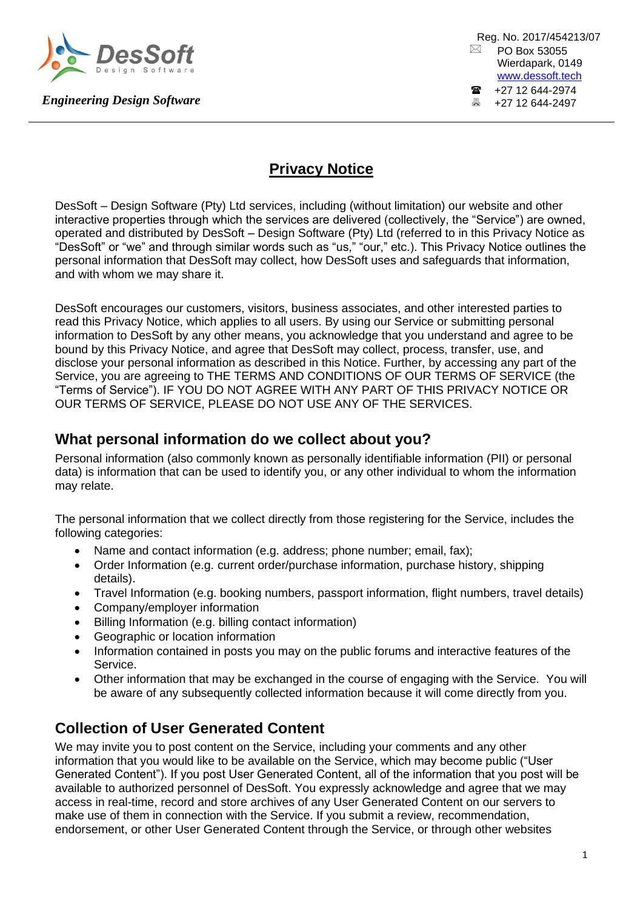

Reg. No. 2017/454213/07  $\boxtimes$  PO Box 53055 Wierdapark, 0149 [www.dessoft.tech](http://www.dessoft.tech/)  $\bullet$  +27 12 644-2974<br> $\bullet$  +27 12 644-2497 +27 12 644-2497

## **Privacy Notice**

DesSoft – Design Software (Pty) Ltd services, including (without limitation) our website and other interactive properties through which the services are delivered (collectively, the "Service") are owned, operated and distributed by DesSoft – Design Software (Pty) Ltd (referred to in this Privacy Notice as "DesSoft" or "we" and through similar words such as "us," "our," etc.). This Privacy Notice outlines the personal information that DesSoft may collect, how DesSoft uses and safeguards that information, and with whom we may share it.

DesSoft encourages our customers, visitors, business associates, and other interested parties to read this Privacy Notice, which applies to all users. By using our Service or submitting personal information to DesSoft by any other means, you acknowledge that you understand and agree to be bound by this Privacy Notice, and agree that DesSoft may collect, process, transfer, use, and disclose your personal information as described in this Notice. Further, by accessing any part of the Service, you are agreeing to THE TERMS AND CONDITIONS OF OUR TERMS OF SERVICE (the "Terms of Service"). IF YOU DO NOT AGREE WITH ANY PART OF THIS PRIVACY NOTICE OR OUR TERMS OF SERVICE, PLEASE DO NOT USE ANY OF THE SERVICES.

#### **What personal information do we collect about you?**

Personal information (also commonly known as personally identifiable information (PII) or personal data) is information that can be used to identify you, or any other individual to whom the information may relate.

The personal information that we collect directly from those registering for the Service, includes the following categories:

- Name and contact information (e.g. address; phone number; email, fax);
- Order Information (e.g. current order/purchase information, purchase history, shipping details).
- Travel Information (e.g. booking numbers, passport information, flight numbers, travel details)
- Company/employer information
- Billing Information (e.g. billing contact information)
- Geographic or location information
- Information contained in posts you may on the public forums and interactive features of the Service.
- Other information that may be exchanged in the course of engaging with the Service. You will be aware of any subsequently collected information because it will come directly from you.

## **Collection of User Generated Content**

We may invite you to post content on the Service, including your comments and any other information that you would like to be available on the Service, which may become public ("User Generated Content"). If you post User Generated Content, all of the information that you post will be available to authorized personnel of DesSoft. You expressly acknowledge and agree that we may access in real-time, record and store archives of any User Generated Content on our servers to make use of them in connection with the Service. If you submit a review, recommendation, endorsement, or other User Generated Content through the Service, or through other websites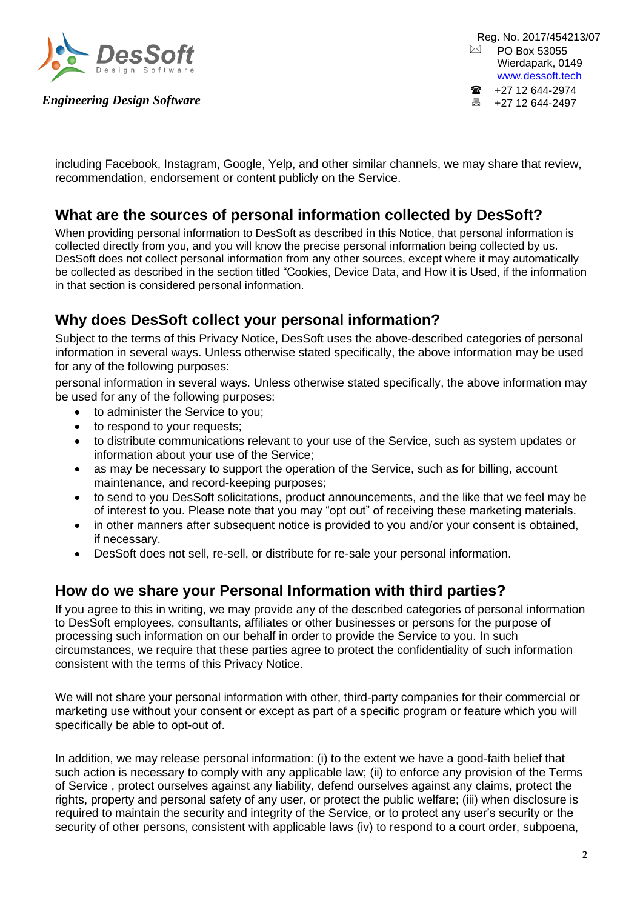

including Facebook, Instagram, Google, Yelp, and other similar channels, we may share that review, recommendation, endorsement or content publicly on the Service.

# **What are the sources of personal information collected by DesSoft?**

When providing personal information to DesSoft as described in this Notice, that personal information is collected directly from you, and you will know the precise personal information being collected by us. DesSoft does not collect personal information from any other sources, except where it may automatically be collected as described in the section titled "Cookies, Device Data, and How it is Used, if the information in that section is considered personal information.

## **Why does DesSoft collect your personal information?**

Subject to the terms of this Privacy Notice, DesSoft uses the above-described categories of personal information in several ways. Unless otherwise stated specifically, the above information may be used for any of the following purposes:

personal information in several ways. Unless otherwise stated specifically, the above information may be used for any of the following purposes:

- to administer the Service to you;
- to respond to your requests;
- to distribute communications relevant to your use of the Service, such as system updates or information about your use of the Service;
- as may be necessary to support the operation of the Service, such as for billing, account maintenance, and record-keeping purposes;
- to send to you DesSoft solicitations, product announcements, and the like that we feel may be of interest to you. Please note that you may "opt out" of receiving these marketing materials.
- in other manners after subsequent notice is provided to you and/or your consent is obtained, if necessary.
- DesSoft does not sell, re-sell, or distribute for re-sale your personal information.

#### **How do we share your Personal Information with third parties?**

If you agree to this in writing, we may provide any of the described categories of personal information to DesSoft employees, consultants, affiliates or other businesses or persons for the purpose of processing such information on our behalf in order to provide the Service to you. In such circumstances, we require that these parties agree to protect the confidentiality of such information consistent with the terms of this Privacy Notice.

We will not share your personal information with other, third-party companies for their commercial or marketing use without your consent or except as part of a specific program or feature which you will specifically be able to opt-out of.

In addition, we may release personal information: (i) to the extent we have a good-faith belief that such action is necessary to comply with any applicable law; (ii) to enforce any provision of the Terms of Service , protect ourselves against any liability, defend ourselves against any claims, protect the rights, property and personal safety of any user, or protect the public welfare; (iii) when disclosure is required to maintain the security and integrity of the Service, or to protect any user's security or the security of other persons, consistent with applicable laws (iv) to respond to a court order, subpoena,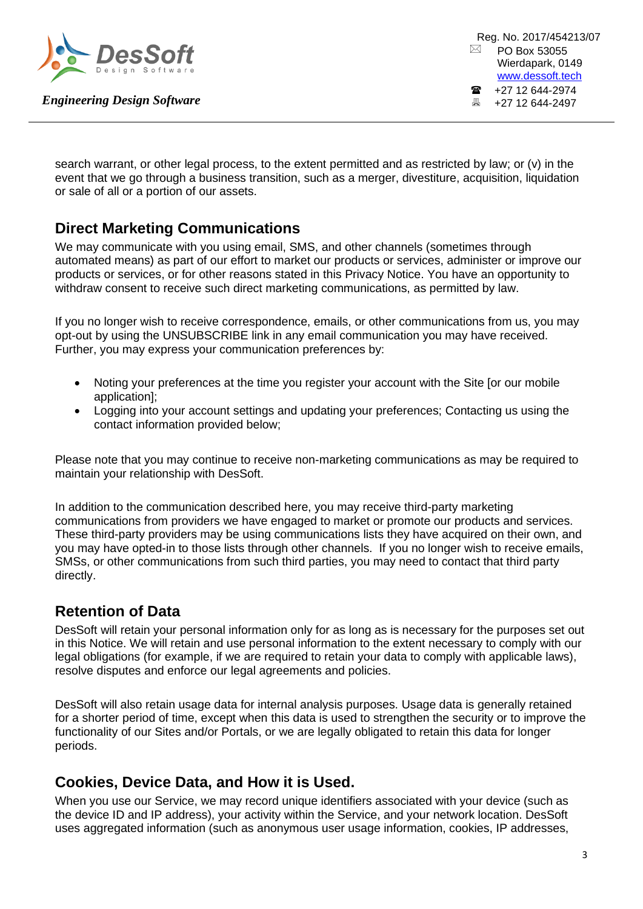

search warrant, or other legal process, to the extent permitted and as restricted by law; or (v) in the event that we go through a business transition, such as a merger, divestiture, acquisition, liquidation or sale of all or a portion of our assets.

## **Direct Marketing Communications**

We may communicate with you using email, SMS, and other channels (sometimes through automated means) as part of our effort to market our products or services, administer or improve our products or services, or for other reasons stated in this Privacy Notice. You have an opportunity to withdraw consent to receive such direct marketing communications, as permitted by law.

If you no longer wish to receive correspondence, emails, or other communications from us, you may opt-out by using the UNSUBSCRIBE link in any email communication you may have received. Further, you may express your communication preferences by:

- Noting your preferences at the time you register your account with the Site [or our mobile application];
- Logging into your account settings and updating your preferences; Contacting us using the contact information provided below;

Please note that you may continue to receive non-marketing communications as may be required to maintain your relationship with DesSoft.

In addition to the communication described here, you may receive third-party marketing communications from providers we have engaged to market or promote our products and services. These third-party providers may be using communications lists they have acquired on their own, and you may have opted-in to those lists through other channels. If you no longer wish to receive emails, SMSs, or other communications from such third parties, you may need to contact that third party directly.

## **Retention of Data**

DesSoft will retain your personal information only for as long as is necessary for the purposes set out in this Notice. We will retain and use personal information to the extent necessary to comply with our legal obligations (for example, if we are required to retain your data to comply with applicable laws), resolve disputes and enforce our legal agreements and policies.

DesSoft will also retain usage data for internal analysis purposes. Usage data is generally retained for a shorter period of time, except when this data is used to strengthen the security or to improve the functionality of our Sites and/or Portals, or we are legally obligated to retain this data for longer periods.

#### **Cookies, Device Data, and How it is Used.**

When you use our Service, we may record unique identifiers associated with your device (such as the device ID and IP address), your activity within the Service, and your network location. DesSoft uses aggregated information (such as anonymous user usage information, cookies, IP addresses,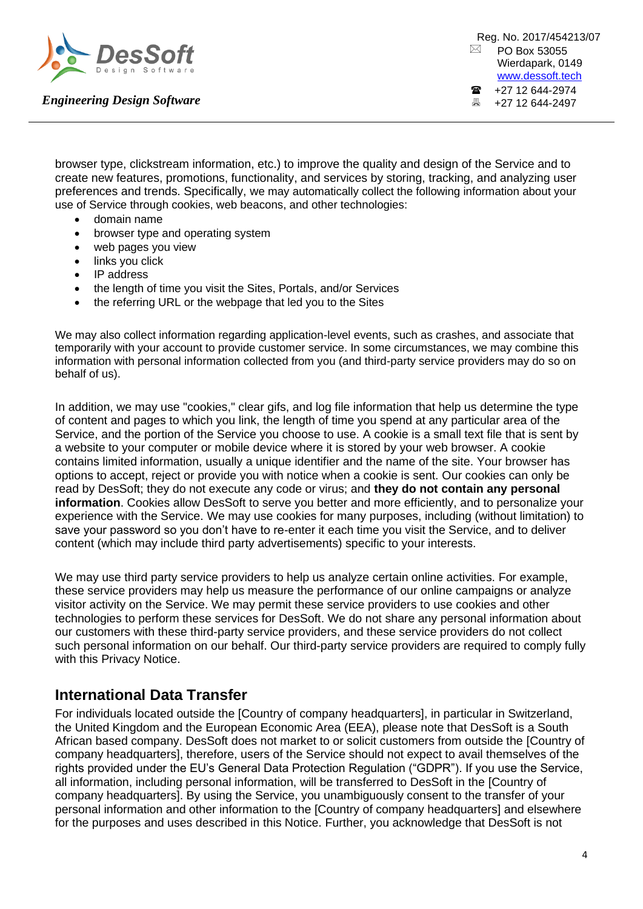

Reg. No. 2017/454213/07  $\boxtimes$  PO Box 53055 Wierdapark, 0149 [www.dessoft.tech](http://www.dessoft.tech/)  $\bullet$  +27 12 644-2974<br> $\bullet$  +27 12 644-2497 +27 12 644-2497

browser type, clickstream information, etc.) to improve the quality and design of the Service and to create new features, promotions, functionality, and services by storing, tracking, and analyzing user preferences and trends. Specifically, we may automatically collect the following information about your use of Service through cookies, web beacons, and other technologies:

- domain name
- browser type and operating system
- web pages you view
- links you click
- IP address
- the length of time you visit the Sites, Portals, and/or Services
- the referring URL or the webpage that led you to the Sites

We may also collect information regarding application-level events, such as crashes, and associate that temporarily with your account to provide customer service. In some circumstances, we may combine this information with personal information collected from you (and third-party service providers may do so on behalf of us).

In addition, we may use "cookies," clear gifs, and log file information that help us determine the type of content and pages to which you link, the length of time you spend at any particular area of the Service, and the portion of the Service you choose to use. A cookie is a small text file that is sent by a website to your computer or mobile device where it is stored by your web browser. A cookie contains limited information, usually a unique identifier and the name of the site. Your browser has options to accept, reject or provide you with notice when a cookie is sent. Our cookies can only be read by DesSoft; they do not execute any code or virus; and **they do not contain any personal information**. Cookies allow DesSoft to serve you better and more efficiently, and to personalize your experience with the Service. We may use cookies for many purposes, including (without limitation) to save your password so you don't have to re-enter it each time you visit the Service, and to deliver content (which may include third party advertisements) specific to your interests.

We may use third party service providers to help us analyze certain online activities. For example, these service providers may help us measure the performance of our online campaigns or analyze visitor activity on the Service. We may permit these service providers to use cookies and other technologies to perform these services for DesSoft. We do not share any personal information about our customers with these third-party service providers, and these service providers do not collect such personal information on our behalf. Our third-party service providers are required to comply fully with this Privacy Notice.

#### **International Data Transfer**

For individuals located outside the [Country of company headquarters], in particular in Switzerland, the United Kingdom and the European Economic Area (EEA), please note that DesSoft is a South African based company. DesSoft does not market to or solicit customers from outside the [Country of company headquarters], therefore, users of the Service should not expect to avail themselves of the rights provided under the EU's General Data Protection Regulation ("GDPR"). If you use the Service, all information, including personal information, will be transferred to DesSoft in the [Country of company headquarters]. By using the Service, you unambiguously consent to the transfer of your personal information and other information to the [Country of company headquarters] and elsewhere for the purposes and uses described in this Notice. Further, you acknowledge that DesSoft is not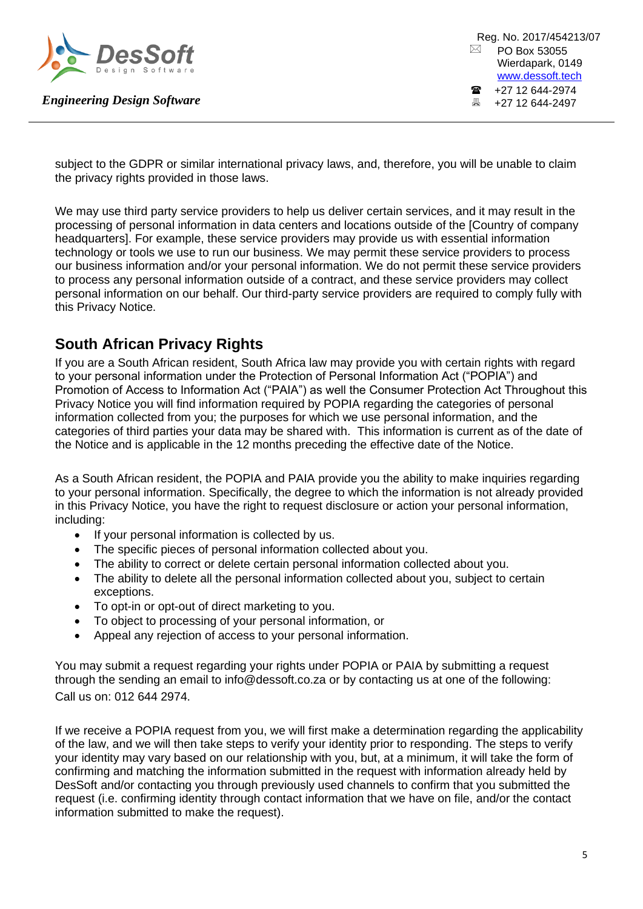

subject to the GDPR or similar international privacy laws, and, therefore, you will be unable to claim the privacy rights provided in those laws.

We may use third party service providers to help us deliver certain services, and it may result in the processing of personal information in data centers and locations outside of the [Country of company headquarters]. For example, these service providers may provide us with essential information technology or tools we use to run our business. We may permit these service providers to process our business information and/or your personal information. We do not permit these service providers to process any personal information outside of a contract, and these service providers may collect personal information on our behalf. Our third-party service providers are required to comply fully with this Privacy Notice.

## **South African Privacy Rights**

If you are a South African resident, South Africa law may provide you with certain rights with regard to your personal information under the Protection of Personal Information Act ("POPIA") and Promotion of Access to Information Act ("PAIA") as well the Consumer Protection Act Throughout this Privacy Notice you will find information required by POPIA regarding the categories of personal information collected from you; the purposes for which we use personal information, and the categories of third parties your data may be shared with. This information is current as of the date of the Notice and is applicable in the 12 months preceding the effective date of the Notice.

As a South African resident, the POPIA and PAIA provide you the ability to make inquiries regarding to your personal information. Specifically, the degree to which the information is not already provided in this Privacy Notice, you have the right to request disclosure or action your personal information, including:

- If your personal information is collected by us.
- The specific pieces of personal information collected about you.
- The ability to correct or delete certain personal information collected about you.
- The ability to delete all the personal information collected about you, subject to certain exceptions.
- To opt-in or opt-out of direct marketing to you.
- To object to processing of your personal information, or
- Appeal any rejection of access to your personal information.

You may submit a request regarding your rights under POPIA or PAIA by submitting a request through the sending an email to info@dessoft.co.za or by contacting us at one of the following: Call us on: 012 644 2974.

If we receive a POPIA request from you, we will first make a determination regarding the applicability of the law, and we will then take steps to verify your identity prior to responding. The steps to verify your identity may vary based on our relationship with you, but, at a minimum, it will take the form of confirming and matching the information submitted in the request with information already held by DesSoft and/or contacting you through previously used channels to confirm that you submitted the request (i.e. confirming identity through contact information that we have on file, and/or the contact information submitted to make the request).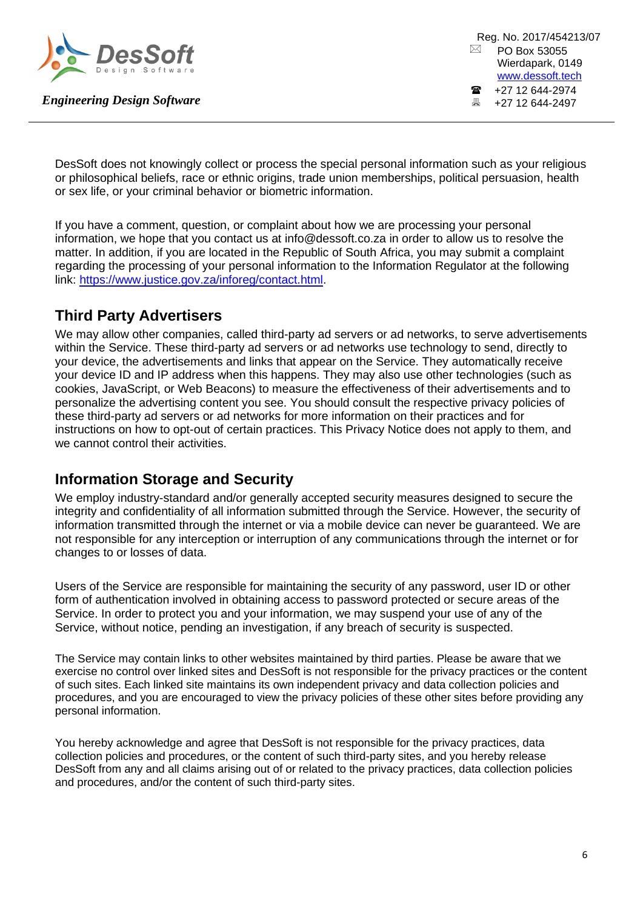

Reg. No. 2017/454213/07  $\boxtimes$  PO Box 53055 Wierdapark, 0149 [www.dessoft.tech](http://www.dessoft.tech/)  $\bullet$  +27 12 644-2974<br> $\bullet$  +27 12 644-2497 +27 12 644-2497

DesSoft does not knowingly collect or process the special personal information such as your religious or philosophical beliefs, race or ethnic origins, trade union memberships, political persuasion, health or sex life, or your criminal behavior or biometric information.

If you have a comment, question, or complaint about how we are processing your personal information, we hope that you contact us at info@dessoft.co.za in order to allow us to resolve the matter. In addition, if you are located in the Republic of South Africa, you may submit a complaint regarding the processing of your personal information to the Information Regulator at the following link: [https://www.justice.gov.za/inforeg/contact.html.](https://www.justice.gov.za/inforeg/contact.html)

## **Third Party Advertisers**

We may allow other companies, called third-party ad servers or ad networks, to serve advertisements within the Service. These third-party ad servers or ad networks use technology to send, directly to your device, the advertisements and links that appear on the Service. They automatically receive your device ID and IP address when this happens. They may also use other technologies (such as cookies, JavaScript, or Web Beacons) to measure the effectiveness of their advertisements and to personalize the advertising content you see. You should consult the respective privacy policies of these third-party ad servers or ad networks for more information on their practices and for instructions on how to opt-out of certain practices. This Privacy Notice does not apply to them, and we cannot control their activities.

#### **Information Storage and Security**

We employ industry-standard and/or generally accepted security measures designed to secure the integrity and confidentiality of all information submitted through the Service. However, the security of information transmitted through the internet or via a mobile device can never be guaranteed. We are not responsible for any interception or interruption of any communications through the internet or for changes to or losses of data.

Users of the Service are responsible for maintaining the security of any password, user ID or other form of authentication involved in obtaining access to password protected or secure areas of the Service. In order to protect you and your information, we may suspend your use of any of the Service, without notice, pending an investigation, if any breach of security is suspected.

The Service may contain links to other websites maintained by third parties. Please be aware that we exercise no control over linked sites and DesSoft is not responsible for the privacy practices or the content of such sites. Each linked site maintains its own independent privacy and data collection policies and procedures, and you are encouraged to view the privacy policies of these other sites before providing any personal information.

You hereby acknowledge and agree that DesSoft is not responsible for the privacy practices, data collection policies and procedures, or the content of such third-party sites, and you hereby release DesSoft from any and all claims arising out of or related to the privacy practices, data collection policies and procedures, and/or the content of such third-party sites.